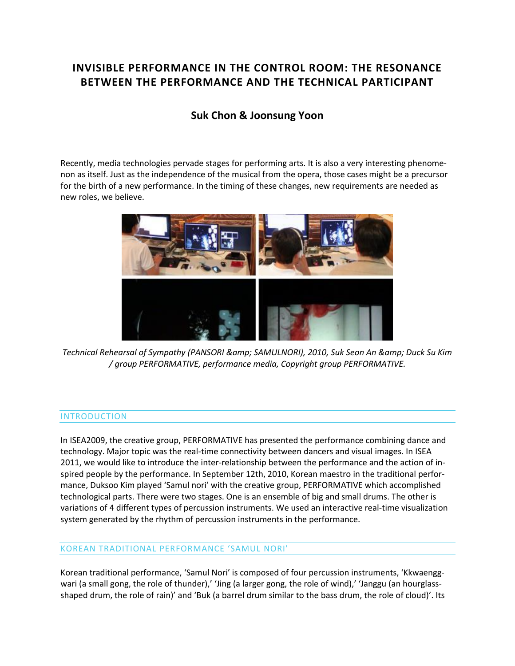# **INVISIBLE PERFORMANCE IN THE CONTROL ROOM: THE RESONANCE BETWEEN THE PERFORMANCE AND THE TECHNICAL PARTICIPANT**

## **Suk Chon & [Joonsung Yoon](http://isea2011.sabanciuniv.edu/professor-23.html)**

Recently, media technologies pervade stages for performing arts. It is also a very interesting phenomenon as itself. Just as the independence of the musical from the opera, those cases might be a precursor for the birth of a new performance. In the timing of these changes, new requirements are needed as new roles, we believe.



*Technical Rehearsal of Sympathy (PANSORI & amp; SAMULNORI), 2010, Suk Seon An & amp; Duck Su Kim / group PERFORMATIVE, performance media, Copyright group PERFORMATIVE.*

#### INTRODUCTION

In ISEA2009, the creative group, PERFORMATIVE has presented the performance combining dance and technology. Major topic was the real-time connectivity between dancers and visual images. In ISEA 2011, we would like to introduce the inter-relationship between the performance and the action of inspired people by the performance. In September 12th, 2010, Korean maestro in the traditional performance, Duksoo Kim played 'Samul nori' with the creative group, PERFORMATIVE which accomplished technological parts. There were two stages. One is an ensemble of big and small drums. The other is variations of 4 different types of percussion instruments. We used an interactive real-time visualization system generated by the rhythm of percussion instruments in the performance.

#### KOREAN TRADITIONAL PERFORMANCE 'SAMUL NORI'

Korean traditional performance, 'Samul Nori' is composed of four percussion instruments, 'Kkwaenggwari (a small gong, the role of thunder),' 'Jing (a larger gong, the role of wind),' 'Janggu (an hourglassshaped drum, the role of rain)' and 'Buk (a barrel drum similar to the bass drum, the role of cloud)'. Its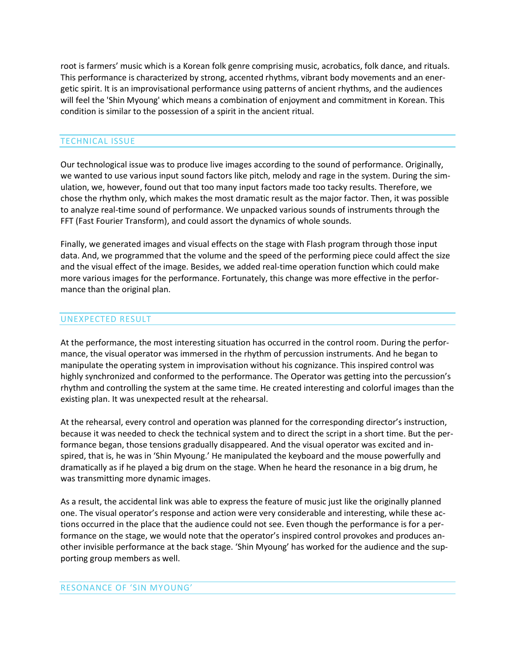root is farmers' music which is a Korean folk genre comprising music, acrobatics, folk dance, and rituals. This performance is characterized by strong, accented rhythms, vibrant body movements and an energetic spirit. It is an improvisational performance using patterns of ancient rhythms, and the audiences will feel the 'Shin Myoung' which means a combination of enjoyment and commitment in Korean. This condition is similar to the possession of a spirit in the ancient ritual.

## TECHNICAL ISSUE

Our technological issue was to produce live images according to the sound of performance. Originally, we wanted to use various input sound factors like pitch, melody and rage in the system. During the simulation, we, however, found out that too many input factors made too tacky results. Therefore, we chose the rhythm only, which makes the most dramatic result as the major factor. Then, it was possible to analyze real-time sound of performance. We unpacked various sounds of instruments through the FFT (Fast Fourier Transform), and could assort the dynamics of whole sounds.

Finally, we generated images and visual effects on the stage with Flash program through those input data. And, we programmed that the volume and the speed of the performing piece could affect the size and the visual effect of the image. Besides, we added real-time operation function which could make more various images for the performance. Fortunately, this change was more effective in the performance than the original plan.

### UNEXPECTED RESULT

At the performance, the most interesting situation has occurred in the control room. During the performance, the visual operator was immersed in the rhythm of percussion instruments. And he began to manipulate the operating system in improvisation without his cognizance. This inspired control was highly synchronized and conformed to the performance. The Operator was getting into the percussion's rhythm and controlling the system at the same time. He created interesting and colorful images than the existing plan. It was unexpected result at the rehearsal.

At the rehearsal, every control and operation was planned for the corresponding director's instruction, because it was needed to check the technical system and to direct the script in a short time. But the performance began, those tensions gradually disappeared. And the visual operator was excited and inspired, that is, he was in 'Shin Myoung.' He manipulated the keyboard and the mouse powerfully and dramatically as if he played a big drum on the stage. When he heard the resonance in a big drum, he was transmitting more dynamic images.

As a result, the accidental link was able to express the feature of music just like the originally planned one. The visual operator's response and action were very considerable and interesting, while these actions occurred in the place that the audience could not see. Even though the performance is for a performance on the stage, we would note that the operator's inspired control provokes and produces another invisible performance at the back stage. 'Shin Myoung' has worked for the audience and the supporting group members as well.

#### RESONANCE OF 'SIN MYOUNG'